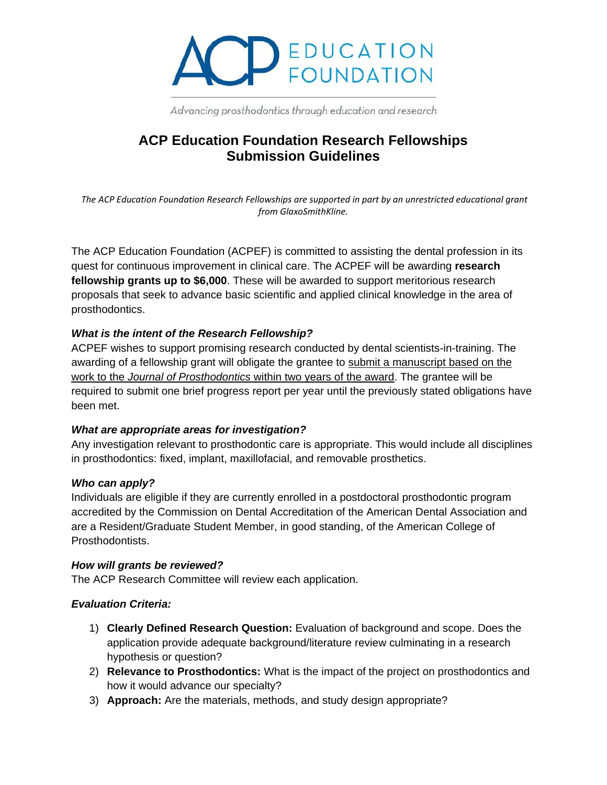

Advancing prosthodontics through education and research

## **ACP Education Foundation Research Fellowships Submission Guidelines**

*The ACP Education Foundation Research Fellowships are supported in part by an unrestricted educational grant from GlaxoSmithKline.*

The ACP Education Foundation (ACPEF) is committed to assisting the dental profession in its quest for continuous improvement in clinical care. The ACPEF will be awarding **research fellowship grants up to \$6,000**. These will be awarded to support meritorious research proposals that seek to advance basic scientific and applied clinical knowledge in the area of prosthodontics.

#### *What is the intent of the Research Fellowship?*

ACPEF wishes to support promising research conducted by dental scientists-in-training. The awarding of a fellowship grant will obligate the grantee to submit a manuscript based on the work to the *Journal of Prosthodontics* within two years of the award. The grantee will be required to submit one brief progress report per year until the previously stated obligations have been met.

#### *What are appropriate areas for investigation?*

Any investigation relevant to prosthodontic care is appropriate. This would include all disciplines in prosthodontics: fixed, implant, maxillofacial, and removable prosthetics.

#### *Who can apply?*

Individuals are eligible if they are currently enrolled in a postdoctoral prosthodontic program accredited by the Commission on Dental Accreditation of the American Dental Association and are a Resident/Graduate Student Member, in good standing, of the American College of Prosthodontists.

#### *How will grants be reviewed?*

The ACP Research Committee will review each application.

#### *Evaluation Criteria:*

- 1) **Clearly Defined Research Question:** Evaluation of background and scope. Does the application provide adequate background/literature review culminating in a research hypothesis or question?
- 2) **Relevance to Prosthodontics:** What is the impact of the project on prosthodontics and how it would advance our specialty?
- 3) **Approach:** Are the materials, methods, and study design appropriate?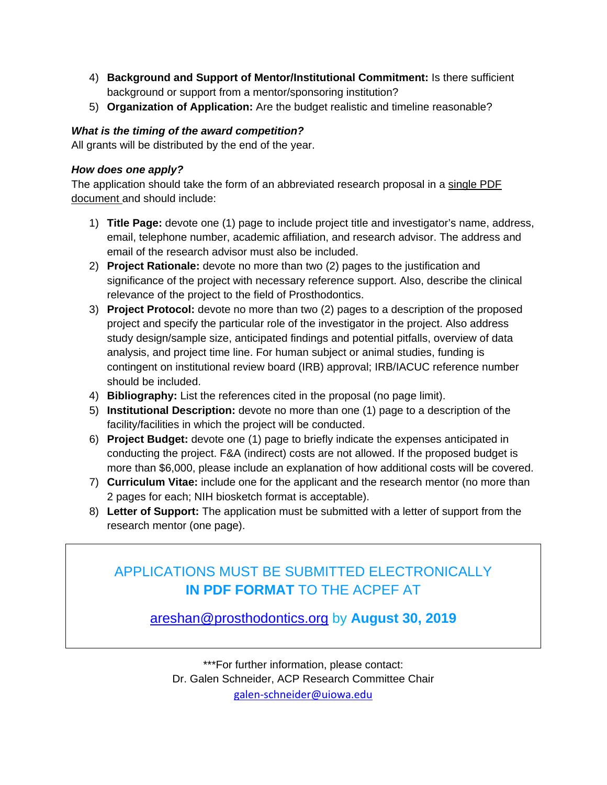- 4) **Background and Support of Mentor/Institutional Commitment:** Is there sufficient background or support from a mentor/sponsoring institution?
- 5) **Organization of Application:** Are the budget realistic and timeline reasonable?

## *What is the timing of the award competition?*

All grants will be distributed by the end of the year.

### *How does one apply?*

The application should take the form of an abbreviated research proposal in a single PDF document and should include:

- 1) **Title Page:** devote one (1) page to include project title and investigator's name, address, email, telephone number, academic affiliation, and research advisor. The address and email of the research advisor must also be included.
- 2) **Project Rationale:** devote no more than two (2) pages to the justification and significance of the project with necessary reference support. Also, describe the clinical relevance of the project to the field of Prosthodontics.
- 3) **Project Protocol:** devote no more than two (2) pages to a description of the proposed project and specify the particular role of the investigator in the project. Also address study design/sample size, anticipated findings and potential pitfalls, overview of data analysis, and project time line. For human subject or animal studies, funding is contingent on institutional review board (IRB) approval; IRB/IACUC reference number should be included.
- 4) **Bibliography:** List the references cited in the proposal (no page limit).
- 5) **Institutional Description:** devote no more than one (1) page to a description of the facility/facilities in which the project will be conducted.
- 6) **Project Budget:** devote one (1) page to briefly indicate the expenses anticipated in conducting the project. F&A (indirect) costs are not allowed. If the proposed budget is more than \$6,000, please include an explanation of how additional costs will be covered.
- 7) **Curriculum Vitae:** include one for the applicant and the research mentor (no more than 2 pages for each; NIH biosketch format is acceptable).
- 8) **Letter of Support:** The application must be submitted with a letter of support from the research mentor (one page).

# APPLICATIONS MUST BE SUBMITTED ELECTRONICALLY **IN PDF FORMAT** TO THE ACPEF AT

[areshan@prosthodontics.org](mailto:areshan@prosthodontics.org) by **August 30, 2019**

\*\*\*For further information, please contact: Dr. Galen Schneider, ACP Research Committee Chair [galen-schneider@uiowa.edu](mailto:galen-schneider@uiowa.edu)